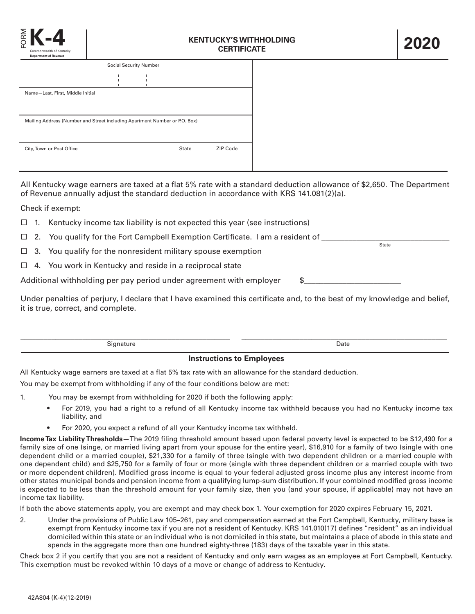

| <b>Social Security Number</b>                                              |  |  |              |          |  |
|----------------------------------------------------------------------------|--|--|--------------|----------|--|
|                                                                            |  |  |              |          |  |
| Name-Last, First, Middle Initial                                           |  |  |              |          |  |
|                                                                            |  |  |              |          |  |
| Mailing Address (Number and Street including Apartment Number or P.O. Box) |  |  |              |          |  |
|                                                                            |  |  |              |          |  |
| City, Town or Post Office                                                  |  |  | <b>State</b> | ZIP Code |  |
|                                                                            |  |  |              |          |  |

All Kentucky wage earners are taxed at a flat 5% rate with a standard deduction allowance of \$2,650. The Department of Revenue annually adjust the standard deduction in accordance with KRS 141.081(2)(a).

Check if exempt:

- $\Box$  1. Kentucky income tax liability is not expected this year (see instructions)
- $\Box$  2. You qualify for the Fort Campbell Exemption Certificate. I am a resident of State
- $\Box$  3. You qualify for the nonresident military spouse exemption
- $\Box$  4. You work in Kentucky and reside in a reciprocal state
- Additional withholding per pay period under agreement with employer \$\_\_\_\_\_\_\_\_\_\_\_

Under penalties of perjury, I declare that I have examined this certificate and, to the best of my knowledge and belief, it is true, correct, and complete.

| Signature                        | Date |  |  |  |
|----------------------------------|------|--|--|--|
| <b>Instructions to Employees</b> |      |  |  |  |

All Kentucky wage earners are taxed at a flat 5% tax rate with an allowance for the standard deduction.

You may be exempt from withholding if any of the four conditions below are met:

- 1. You may be exempt from withholding for 2020 if both the following apply:
	- For 2019, you had a right to a refund of all Kentucky income tax withheld because you had no Kentucky income tax liability, and
	- For 2020, you expect a refund of all your Kentucky income tax withheld.

**Income Tax Liability Thresholds—**The 2019 filing threshold amount based upon federal poverty level is expected to be \$12,490 for a family size of one (singe, or married living apart from your spouse for the entire year), \$16,910 for a family of two (single with one dependent child or a married couple), \$21,330 for a family of three (single with two dependent children or a married couple with one dependent child) and \$25,750 for a family of four or more (single with three dependent children or a married couple with two or more dependent children). Modified gross income is equal to your federal adjusted gross income plus any interest income from other states municipal bonds and pension income from a qualifying lump-sum distribution. If your combined modified gross income is expected to be less than the threshold amount for your family size, then you (and your spouse, if applicable) may not have an income tax liability.

If both the above statements apply, you are exempt and may check box 1. Your exemption for 2020 expires February 15, 2021.

2. Under the provisions of Public Law 105–261, pay and compensation earned at the Fort Campbell, Kentucky, military base is exempt from Kentucky income tax if you are not a resident of Kentucky. KRS 141.010(17) defines "resident" as an individual domiciled within this state or an individual who is not domiciled in this state, but maintains a place of abode in this state and spends in the aggregate more than one hundred eighty-three (183) days of the taxable year in this state.

Check box 2 if you certify that you are not a resident of Kentucky and only earn wages as an employee at Fort Campbell, Kentucky. This exemption must be revoked within 10 days of a move or change of address to Kentucky.